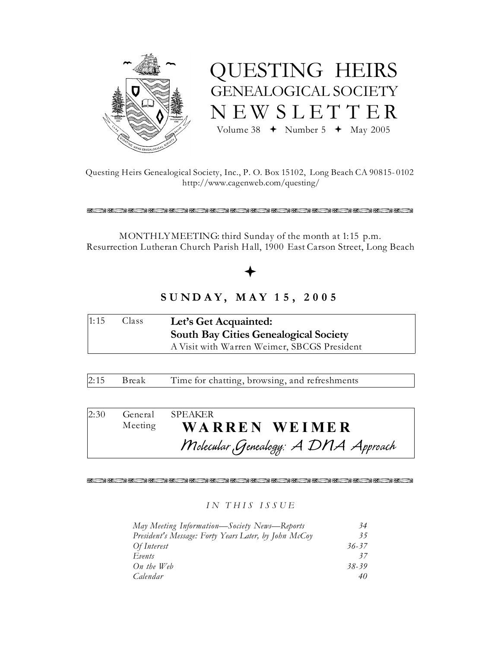



Questing Heirs Genealogical Society, Inc., P. O. Box 15102, Long Beach CA 90815-0102 http://www.cagenweb.com/questing/

化乙烯乙烯医乙烯医乙烯医乙烯医乙烯医乙烯医乙烯医乙烯医乙烯医乙烯医乙烯

MONTHLYMEETING: third Sunday of the month at 1:15 p.m. Resurrection Lutheran Church Parish Hall, 1900 East Carson Street, Long Beach

# $SUNDAY, MAY 15, 2005$

| 1:15 | Class | Let's Get Acquainted:                        |  |
|------|-------|----------------------------------------------|--|
|      |       | <b>South Bay Cities Genealogical Society</b> |  |
|      |       | A Visit with Warren Weimer, SBCGS President  |  |

 $2:15$ **Break** Time for chatting, browsing, and refreshments

| 2:30 | General SPEAKER                     |
|------|-------------------------------------|
|      | Meeting WARREN WEIMER               |
|      | Molecular Genealogy: A DNA Approach |

不 医两侧的 医内侧角 医第二氢乙酰 医阴道性 医不足的 医肠内的 医白色的 医阴气照片 医下的

## IN THIS ISSUE

| May Meeting Information—Society News—Reports          | 34    |
|-------------------------------------------------------|-------|
| President's Message: Forty Years Later, by John McCoy | 35    |
| Of Interest                                           | 36-37 |
| Events                                                | 37    |
| $On$ the Web                                          | 38-39 |
| Calendar                                              | 40    |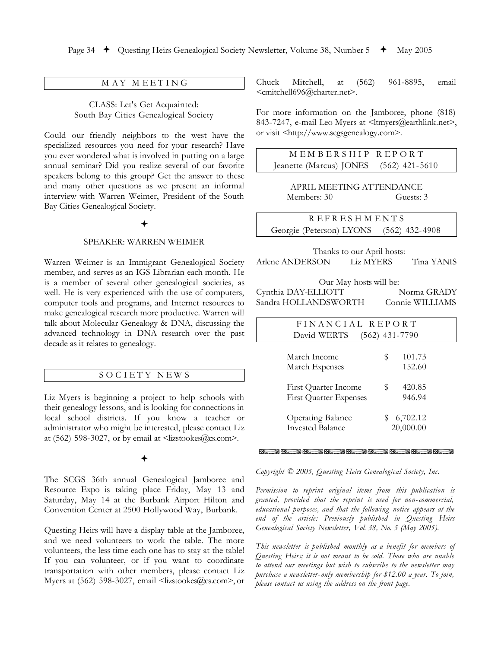### MAY MEETING

CLASS: Let's Get Acquainted: South Bay Cities Genealogical Society

Could our friendly neighbors to the west have the specialized resources you need for your research? Have you ever wondered what is involved in putting on a large annual seminar? Did you realize several of our favorite speakers belong to this group? Get the answer to these and many other questions as we present an informal interview with Warren Weimer, President of the South Bay Cities Genealogical Society.

### **SPEAKER: WARREN WEIMER**

Warren Weimer is an Immigrant Genealogical Society member, and serves as an IGS Librarian each month. He is a member of several other genealogical societies, as well. He is very experienced with the use of computers, computer tools and programs, and Internet resources to make genealogical research more productive. Warren will talk about Molecular Genealogy & DNA, discussing the advanced technology in DNA research over the past decade as it relates to genealogy.

### SOCIETY NEWS

Liz Myers is beginning a project to help schools with their genealogy lessons, and is looking for connections in local school districts. If you know a teacher or administrator who might be interested, please contact Liz at (562) 598-3027, or by email at  $\langle \text{lizstooks}(\text{Qcs.com}\rangle$ .

The SCGS 36th annual Genealogical Jamboree and Resource Expo is taking place Friday, May 13 and Saturday, May 14 at the Burbank Airport Hilton and Convention Center at 2500 Hollywood Way, Burbank.

Questing Heirs will have a display table at the Jamboree, and we need volunteers to work the table. The more volunteers, the less time each one has to stay at the table! If you can volunteer, or if you want to coordinate transportation with other members, please contact Liz Myers at (562) 598-3027, email <lizstookes@cs.com>, or Chuck Mitchell, at  $(562)$ 961-8895, email <cmitchell696@charter.net>.

For more information on the Jamboree, phone (818) 843-7247, e-mail Leo Myers at <ltmyers@earthlink.net>, or visit <http://www.scgsgenealogy.com>.

MEMBERSHIP **REPORT** Jeanette (Marcus) JONES  $(562)$  421-5610

APRIL MEETING ATTENDANCE Members: 30 Guests: 3

**REFRESHMENTS** Georgie (Peterson) LYONS  $(562)$  432-4908

Thanks to our April hosts: Arlene ANDERSON **Liz MYERS** Tina YANIS

Our May hosts will be: Cynthia DAY-ELLIOTT Norma GRADY Sandra HOLLANDSWORTH Connie WILLIAMS

| FINANCIAL REPORT              |                  |  |
|-------------------------------|------------------|--|
| David WERTS                   | $(562)$ 431-7790 |  |
|                               |                  |  |
| March Income                  | 101.73<br>S      |  |
| March Expenses                | 152.60           |  |
|                               |                  |  |
| First Quarter Income          | 420.85<br>S      |  |
| <b>First Quarter Expenses</b> | 946.94           |  |
|                               |                  |  |
| <b>Operating Balance</b>      | 6,702.12<br>\$   |  |
| <b>Invested Balance</b>       | 20,000.00        |  |
|                               |                  |  |

**KOM KOM KOM KOM KOM KOM KOM KOM KOM KOM** 

Copyright © 2005, Questing Heirs Genealogical Society, Inc.

Permission to reprint original items from this publication is granted, provided that the reprint is used for non-commercial, educational purposes, and that the following notice appears at the end of the article: Previously published in Questing Heirs Genealogical Society Newsletter, Vol. 38, No. 5 (May 2005).

This newsletter is published monthly as a benefit for members of Questing Heirs; it is not meant to be sold. Those who are unable to attend our meetings but wish to subscribe to the newsletter may purchase a newsletter-only membership for \$12.00 a year. To join, please contact us using the address on the front page.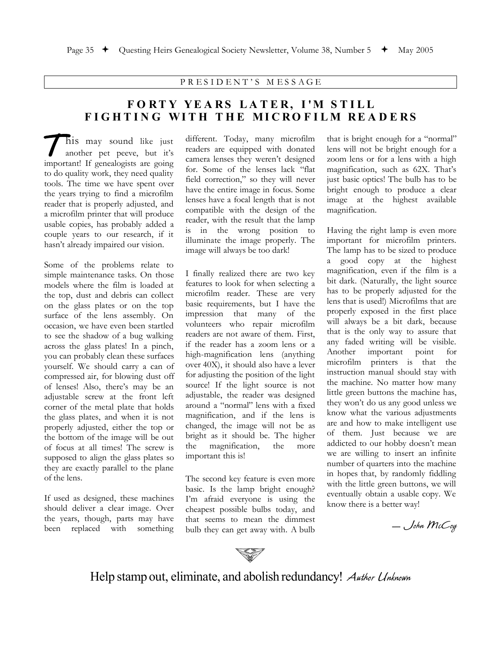PRESIDENT'S MESSAGE

# FORTY YEARS LATER, I'M STILL FIGHTING WITH THE MICROFILM READERS

his may sound like just another pet peeve, but it's important! If genealogists are going to do quality work, they need quality tools. The time we have spent over the years trying to find a microfilm reader that is properly adjusted, and a microfilm printer that will produce usable copies, has probably added a couple years to our research, if it hasn't already impaired our vision.

Some of the problems relate to simple maintenance tasks. On those models where the film is loaded at the top, dust and debris can collect on the glass plates or on the top surface of the lens assembly. On occasion, we have even been startled to see the shadow of a bug walking across the glass plates! In a pinch, you can probably clean these surfaces yourself. We should carry a can of compressed air, for blowing dust off of lenses! Also, there's may be an adjustable screw at the front left corner of the metal plate that holds the glass plates, and when it is not properly adjusted, either the top or the bottom of the image will be out of focus at all times! The screw is supposed to align the glass plates so they are exactly parallel to the plane of the lens.

If used as designed, these machines should deliver a clear image. Over the years, though, parts may have been replaced with something

different. Today, many microfilm readers are equipped with donated camera lenses they weren't designed for. Some of the lenses lack "flat field correction," so they will never have the entire image in focus. Some lenses have a focal length that is not compatible with the design of the reader, with the result that the lamp is in the wrong position to illuminate the image properly. The image will always be too dark!

I finally realized there are two key features to look for when selecting a microfilm reader. These are very basic requirements, but I have the impression that many of the volunteers who repair microfilm readers are not aware of them. First, if the reader has a zoom lens or a high-magnification lens (anything over 40X), it should also have a lever for adjusting the position of the light source! If the light source is not adjustable, the reader was designed around a "normal" lens with a fixed magnification, and if the lens is changed, the image will not be as bright as it should be. The higher the magnification, the more important this is!

The second key feature is even more basic. Is the lamp bright enough? I'm afraid everyone is using the cheapest possible bulbs today, and that seems to mean the dimmest bulb they can get away with. A bulb

that is bright enough for a "normal" lens will not be bright enough for a zoom lens or for a lens with a high magnification, such as 62X. That's just basic optics! The bulb has to be bright enough to produce a clear image at the highest available magnification.

Having the right lamp is even more important for microfilm printers. The lamp has to be sized to produce a good copy at the highest magnification, even if the film is a bit dark. (Naturally, the light source has to be properly adjusted for the lens that is used!) Microfilms that are properly exposed in the first place will always be a bit dark, because that is the only way to assure that any faded writing will be visible. important point Another for microfilm printers is that the instruction manual should stay with the machine. No matter how many little green buttons the machine has, they won't do us any good unless we know what the various adjustments are and how to make intelligent use of them. Just because we are addicted to our hobby doesn't mean we are willing to insert an infinite number of quarters into the machine in hopes that, by randomly fiddling with the little green buttons, we will eventually obtain a usable copy. We know there is a better way!

- John McCoy



Help stamp out, eliminate, and abolish redundancy! Author Unknown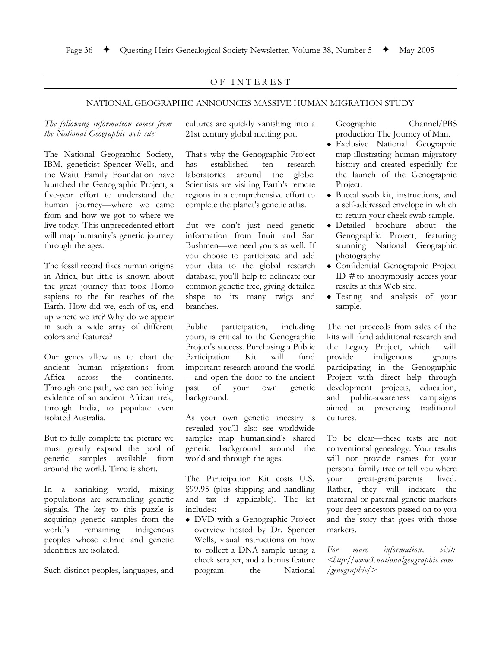### OF INTEREST

### NATIONAL GEOGRAPHIC ANNOUNCES MASSIVE HUMAN MIGRATION STUDY

### The following information comes from the National Geographic web site:

The National Geographic Society, IBM, geneticist Spencer Wells, and the Waitt Family Foundation have launched the Genographic Project, a five-year effort to understand the human journey—where we came from and how we got to where we live today. This unprecedented effort will map humanity's genetic journey through the ages.

The fossil record fixes human origins in Africa, but little is known about the great journey that took Homo sapiens to the far reaches of the Earth. How did we, each of us, end up where we are? Why do we appear in such a wide array of different colors and features?

Our genes allow us to chart the ancient human migrations from Africa across the continents. Through one path, we can see living evidence of an ancient African trek, through India, to populate even isolated Australia.

But to fully complete the picture we must greatly expand the pool of genetic samples available from around the world. Time is short.

In a shrinking world, mixing populations are scrambling genetic signals. The key to this puzzle is acquiring genetic samples from the remaining world's indigenous peoples whose ethnic and genetic identities are isolated.

Such distinct peoples, languages, and

cultures are quickly vanishing into a 21st century global melting pot.

That's why the Genographic Project has established ten research laboratories around the globe. Scientists are visiting Earth's remote regions in a comprehensive effort to complete the planet's genetic atlas.

But we don't just need genetic information from Inuit and San Bushmen—we need yours as well. If you choose to participate and add your data to the global research database, you'll help to delineate our common genetic tree, giving detailed shape to its many twigs and branches.

Public participation, including yours, is critical to the Genographic Project's success. Purchasing a Public will Participation Kit fund important research around the world -and open the door to the ancient past of your own genetic background.

As your own genetic ancestry is revealed you'll also see worldwide samples map humankind's shared genetic background around the world and through the ages.

The Participation Kit costs U.S. \$99.95 (plus shipping and handling and tax if applicable). The kit includes:

• DVD with a Genographic Project overview hosted by Dr. Spencer Wells, visual instructions on how to collect a DNA sample using a cheek scraper, and a bonus feature program: the National

Geographic Channel/PBS production The Journey of Man.

- · Exclusive National Geographic map illustrating human migratory history and created especially for the launch of the Genographic Project.
- Buccal swab kit, instructions, and a self-addressed envelope in which to return your cheek swab sample.
- · Detailed brochure about the Genographic Project, featuring stunning National Geographic photography
- Confidential Genographic Project ID  $#$  to anonymously access your results at this Web site.
- Testing and analysis of your sample.

The net proceeds from sales of the kits will fund additional research and the Legacy Project, which will indigenous provide groups participating in the Genographic Project with direct help through development projects, education, public-awareness campaigns and aimed at preserving traditional cultures.

To be clear—these tests are not conventional genealogy. Your results will not provide names for your personal family tree or tell you where great-grandparents lived. vour Rather, they will indicate the maternal or paternal genetic markers your deep ancestors passed on to you and the story that goes with those markers.

information, For more visit: <http://www3.nationalgeographic.com  $/genographic$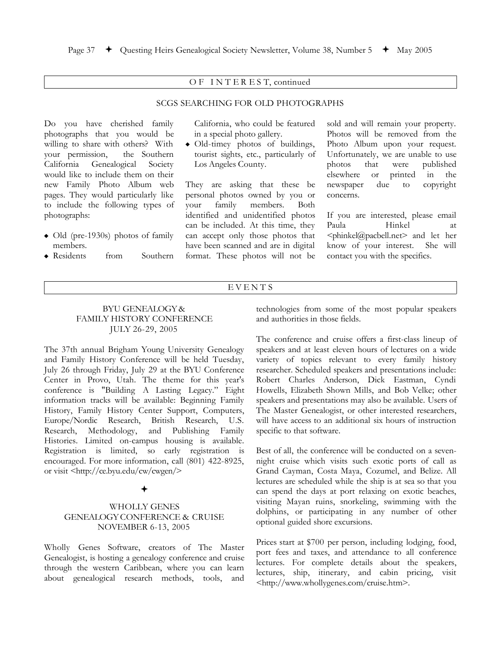### OF INTEREST, continued

### **SCGS SEARCHING FOR OLD PHOTOGRAPHS**

Do you have cherished family photographs that you would be willing to share with others? With your permission, the Southern California Genealogical Society would like to include them on their new Family Photo Album web pages. They would particularly like to include the following types of photographs:

- $\bullet$  Old (pre-1930s) photos of family members.
- $\bullet$  Residents from Southern

California, who could be featured in a special photo gallery.

· Old-timey photos of buildings, tourist sights, etc., particularly of Los Angeles County.

They are asking that these be personal photos owned by you or family members. vour **Both** identified and unidentified photos can be included. At this time, they can accept only those photos that have been scanned and are in digital format. These photos will not be

sold and will remain your property. Photos will be removed from the Photo Album upon your request. Unfortunately, we are unable to use photos that were published elsewhere **or** printed  $\frac{1}{1}$ the newspaper due  $\mathsf{to}$ copyright concerns.

If you are interested, please email Hinkel Paula <sub>at</sub> <phinkel@pacbell.net> and let her know of your interest. She will contact you with the specifics.

### EVENTS

### **BYU GENEALOGY &** FAMILY HISTORY CONFERENCE JULY 26-29, 2005

The 37th annual Brigham Young University Genealogy and Family History Conference will be held Tuesday, July 26 through Friday, July 29 at the BYU Conference Center in Provo, Utah. The theme for this year's conference is "Building A Lasting Legacy." Eight information tracks will be available: Beginning Family History, Family History Center Support, Computers, Europe/Nordic Research, British Research, U.S. Research, Methodology, and Publishing Family Histories. Limited on-campus housing is available. Registration is limited, so early registration is encouraged. For more information, call (801) 422-8925, or visit <http://ce.byu.edu/cw/cwgen/>

### **WHOLLY GENES GENEALOGY CONFERENCE & CRUISE NOVEMBER 6-13, 2005**

Wholly Genes Software, creators of The Master Genealogist, is hosting a genealogy conference and cruise through the western Caribbean, where you can learn about genealogical research methods, tools, and technologies from some of the most popular speakers and authorities in those fields.

The conference and cruise offers a first-class lineup of speakers and at least eleven hours of lectures on a wide variety of topics relevant to every family history researcher. Scheduled speakers and presentations include: Robert Charles Anderson, Dick Eastman, Cyndi Howells, Elizabeth Shown Mills, and Bob Velke; other speakers and presentations may also be available. Users of The Master Genealogist, or other interested researchers, will have access to an additional six hours of instruction specific to that software.

Best of all, the conference will be conducted on a sevennight cruise which visits such exotic ports of call as Grand Cayman, Costa Maya, Cozumel, and Belize. All lectures are scheduled while the ship is at sea so that you can spend the days at port relaxing on exotic beaches, visiting Mayan ruins, snorkeling, swimming with the dolphins, or participating in any number of other optional guided shore excursions.

Prices start at \$700 per person, including lodging, food, port fees and taxes, and attendance to all conference lectures. For complete details about the speakers, lectures, ship, itinerary, and cabin pricing, visit <http://www.whollygenes.com/cruise.htm>.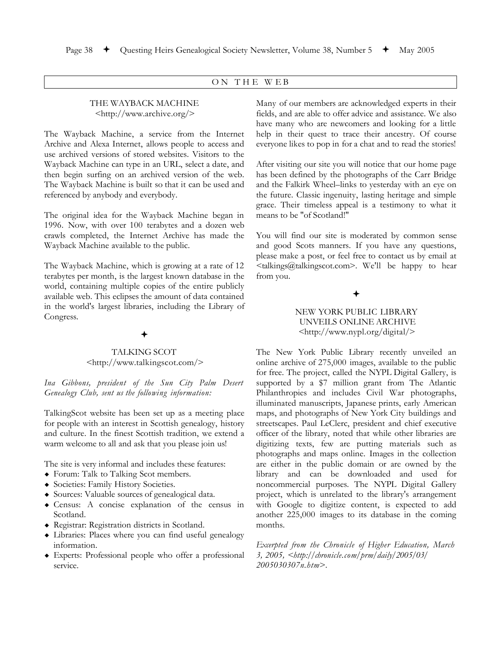### ON THE WEB

### THE WAYBACK MACHINE <http://www.archive.org/>

The Wayback Machine, a service from the Internet Archive and Alexa Internet, allows people to access and use archived versions of stored websites. Visitors to the Wayback Machine can type in an URL, select a date, and then begin surfing on an archived version of the web. The Wayback Machine is built so that it can be used and referenced by anybody and everybody.

The original idea for the Wayback Machine began in 1996. Now, with over 100 terabytes and a dozen web crawls completed, the Internet Archive has made the Wayback Machine available to the public.

The Wayback Machine, which is growing at a rate of 12 terabytes per month, is the largest known database in the world, containing multiple copies of the entire publicly available web. This eclipses the amount of data contained in the world's largest libraries, including the Library of Congress.

### **TALKING SCOT** <http://www.talkingscot.com/>

Ina Gibbons, president of the Sun City Palm Desert Genealogy Club, sent us the following information:

TalkingScot website has been set up as a meeting place for people with an interest in Scottish genealogy, history and culture. In the finest Scottish tradition, we extend a warm welcome to all and ask that you please join us!

The site is very informal and includes these features:

- Forum: Talk to Talking Scot members.
- Societies: Family History Societies.
- Sources: Valuable sources of genealogical data.
- Census: A concise explanation of the census in Scotland.
- Registrar: Registration districts in Scotland.
- Libraries: Places where you can find useful genealogy information.
- $\bullet$  Experts: Professional people who offer a professional service.

Many of our members are acknowledged experts in their fields, and are able to offer advice and assistance. We also have many who are newcomers and looking for a little help in their quest to trace their ancestry. Of course everyone likes to pop in for a chat and to read the stories!

After visiting our site you will notice that our home page has been defined by the photographs of the Carr Bridge and the Falkirk Wheel-links to yesterday with an eye on the future. Classic ingenuity, lasting heritage and simple grace. Their timeless appeal is a testimony to what it means to be "of Scotland!"

You will find our site is moderated by common sense and good Scots manners. If you have any questions, please make a post, or feel free to contact us by email at <talkings@talkingscot.com>. We'll be happy to hear from you.

## NEW YORK PUBLIC LIBRARY UNVEILS ONLINE ARCHIVE <http://www.nypl.org/digital/>

The New York Public Library recently unveiled an online archive of 275,000 images, available to the public for free. The project, called the NYPL Digital Gallery, is supported by a \$7 million grant from The Atlantic Philanthropies and includes Civil War photographs, illuminated manuscripts, Japanese prints, early American maps, and photographs of New York City buildings and streetscapes. Paul LeClerc, president and chief executive officer of the library, noted that while other libraries are digitizing texts, few are putting materials such as photographs and maps online. Images in the collection are either in the public domain or are owned by the library and can be downloaded and used for noncommercial purposes. The NYPL Digital Gallery project, which is unrelated to the library's arrangement with Google to digitize content, is expected to add another 225,000 images to its database in the coming months.

Excerpted from the Chronicle of Higher Education, March 3, 2005, <http://chronicle.com/prm/daily/2005/03/ 2005030307n.htm>.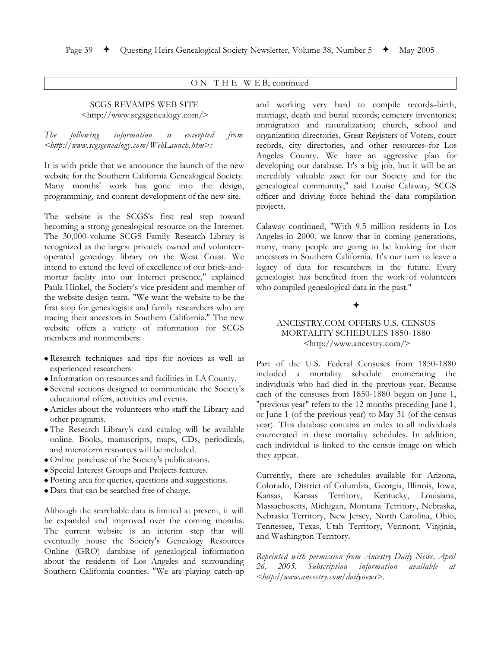### ON THE WEB, continued

### **SCGS REVAMPS WEB SITE** <http://www.scgsgenealogy.com/>

The following information  $is$ excerpted from  $\lt$ http://www.scgsgenealogy.com/WebLaunch.htm>:

It is with pride that we announce the launch of the new website for the Southern California Genealogical Society. Many months' work has gone into the design, programming, and content development of the new site.

The website is the SCGS's first real step toward becoming a strong genealogical resource on the Internet. The 30,000-volume SCGS Family Research Library is recognized as the largest privately owned and volunteeroperated genealogy library on the West Coast. We intend to extend the level of excellence of our brick-andmortar facility into our Internet presence," explained Paula Hinkel, the Society's vice president and member of the website design team. "We want the website to be the first stop for genealogists and family researchers who are tracing their ancestors in Southern California." The new website offers a variety of information for SCGS members and nonmembers:

- Research techniques and tips for novices as well as experienced researchers
- Information on resources and facilities in LA County.
- ◆ Several sections designed to communicate the Society's educational offers, activities and events.
- Articles about the volunteers who staff the Library and other programs.
- The Research Library's card catalog will be available online. Books, manuscripts, maps, CDs, periodicals, and microform resources will be included.
- Online purchase of the Society's publications.
- Special Interest Groups and Projects features.
- Posting area for queries, questions and suggestions.
- Data that can be searched free of charge.

Although the searchable data is limited at present, it will be expanded and improved over the coming months. The current website is an interim step that will eventually house the Society's Genealogy Resources Online (GRO) database of genealogical information about the residents of Los Angeles and surrounding Southern California counties. "We are playing catch-up and working very hard to compile records-birth, marriage, death and burial records; cemetery inventories; immigration and naturalization; church, school and organization directories, Great Registers of Voters, court records, city directories, and other resources-for Los Angeles County. We have an aggressive plan for developing our database. It's a big job, but it will be an incredibly valuable asset for our Society and for the genealogical community," said Louise Calaway, SCGS officer and driving force behind the data compilation projects.

Calaway continued, "With 9.5 million residents in Los Angeles in 2000, we know that in coming generations, many, many people are going to be looking for their ancestors in Southern California. It's our turn to leave a legacy of data for researchers in the future. Every genealogist has benefited from the work of volunteers who compiled genealogical data in the past."

### ANCESTRY.COM OFFERS U.S. CENSUS MORTALITY SCHEDULES 1850-1880 <http://www.ancestry.com/>

Part of the U.S. Federal Censuses from 1850-1880 included a mortality schedule enumerating the individuals who had died in the previous year. Because each of the censuses from 1850-1880 began on June 1, "previous year" refers to the 12 months preceding June 1, or June 1 (of the previous year) to May 31 (of the census year). This database contains an index to all individuals enumerated in these mortality schedules. In addition, each individual is linked to the census image on which they appear.

Currently, there are schedules available for Arizona, Colorado, District of Columbia, Georgia, Illinois, Iowa, Kansas Territory, Kentucky, Louisiana, Kansas, Massachusetts, Michigan, Montana Territory, Nebraska, Nebraska Territory, New Jersey, North Carolina, Ohio, Tennessee, Texas, Utah Territory, Vermont, Virginia, and Washington Territory.

Reprinted with permission from Ancestry Daily News, April 26, 2005. Subscription information available at <http://www.ancestry.com/dailynews>.